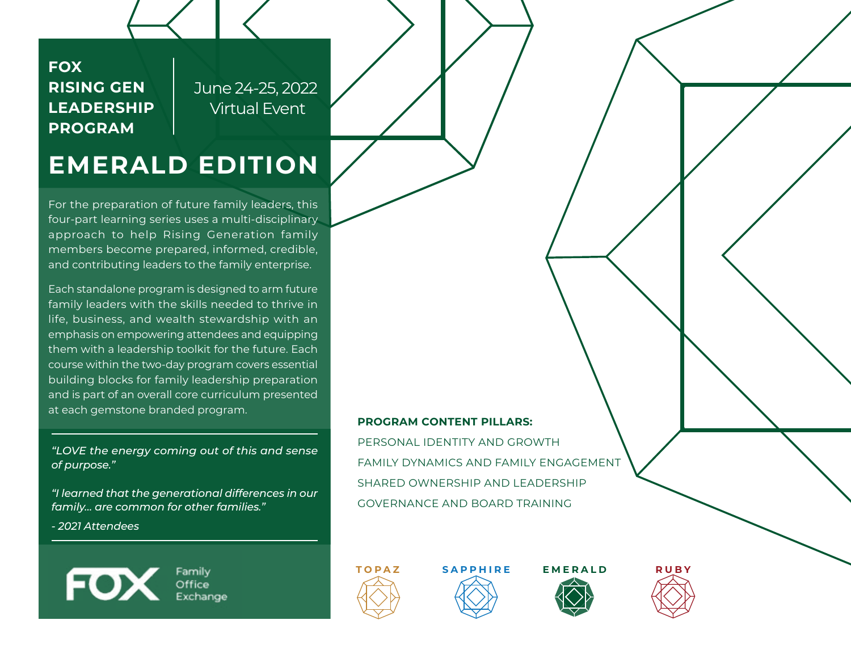**FOX RISING GEN LEADERSHIP PROGRAM**

June 24-25, 2022 Virtual Event

# **EMERALD EDITION**

For the preparation of future family leaders, this four-part learning series uses a multi-disciplinary approach to help Rising Generation family members become prepared, informed, credible, and contributing leaders to the family enterprise.

Each standalone program is designed to arm future family leaders with the skills needed to thrive in life, business, and wealth stewardship with an emphasis on empowering attendees and equipping them with a leadership toolkit for the future. Each course within the two-day program covers essential building blocks for family leadership preparation and is part of an overall core curriculum presented at each gemstone branded program.

*"LOVE the energy coming out of this and sense of purpose."*

*"I learned that the generational differences in our family… are common for other families."*

*- 2021 Attendees*



Family Office









FAMILY DYNAMICS AND FAMILY ENGAGEMENT SHARED OWNERSHIP AND LEADERSHIP GOVERNANCE AND BOARD TRAINING

**PROGRAM CONTENT PILLARS:**

PERSONAL IDENTITY AND GROWTH